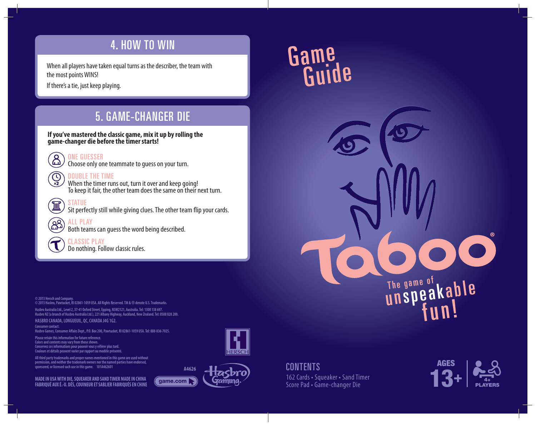### 4. HOW TO WIN

When all players have taken equal turns as the describer, the team with the most points WINS!

If there's a tie, just keep playing.

### 5. GAME-CHANGER DIE

**If you've mastered the classic game, mix it up by rolling the game-changer die before the timer starts!**



 $\bigoplus_{x_2}$ 

Choose only one teammate to guess on your turn.

#### DOUBLE THE TIME

When the timer runs out, turn it over and keep going! To keep it fair, the other team does the same on their next turn.



Sit perfectly still while giving clues. The other team flip your cards.



ALL PLAY Both teams can guess the word being described.

CLASSIC PLAY Do nothing. Follow classic rules.

**© 2013 Hersch and Company. © 2013 Hasbro, Pawtucket, RI 02861-1059 USA. All Rights Reserved. TM &** ® **denote U.S. Trademarks.**

**Hasbro Australia Ltd., Level 2, 37-41 Oxford Street, Epping, NSW2121, Australia. Tel: 1300 138 697. Hasbro NZ (a branch of Hasbro Australia Ltd.), 221 Albany Highway, Auckland, New Zealand. Tel: 0508 828 200.**

**HASBRO CANADA, LONGUEUIL, QC, CANADA J4G 1G2.**

**Consumer contact:**  Hasbro Games, Consumer Affairs Dept., P.O. Box 200, Pawtucket, RI 02861-1059 USA. Tel: 888-836-7025.

**Please retain this information for future reference. Colors and contents may vary from those shown. Conservez ces informations pour pouvoir vous y référer plus tard. Couleurs et détails peuvent varier par rapport au modèle présenté.**

**All third party trademarks and proper names mentioned in this game are used without permission, and neither the trademark owners nor the named parties have endorsed, sponsored, or licensed such use in this game. 101A462601**

**MADE IN USA WITH DIE, SQUEAKER AND SAND TIMER MADE IN CHINA FABRIQUÉ AUX É.-U. DÉS, COUINEUR ET SABLIER FABRIQUÉS EN CHINE (Game.com )** 





# Game Guide

**CONTENTS** 162 Cards • Squeaker • Sand Timer Score Pad • Game-changer Die



The game of kable

fun!